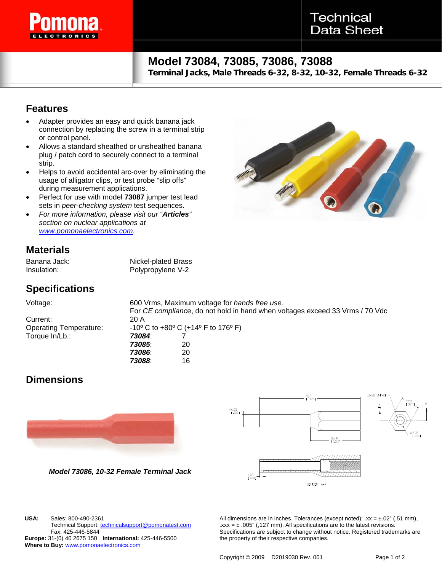

# **Model 73084, 73085, 73086, 73088**

**Terminal Jacks, Male Threads 6-32, 8-32, 10-32, Female Threads 6-32**

### **Features**

- Adapter provides an easy and quick banana jack connection by replacing the screw in a terminal strip or control panel.
- Allows a standard sheathed or unsheathed banana plug / patch cord to securely connect to a terminal strip.
- Helps to avoid accidental arc-over by eliminating the usage of alligator clips, or test probe "slip offs" during measurement applications.
- Perfect for use with model **73087** jumper test lead sets in *peer-checking system* test sequences.
- *For more information, please visit our "Articles" section on nuclear applications at [www.pomonaelectronics.com](http://www.pomonaelectronics.com/).*

### **Materials**

Banana Jack: Nickel-plated Brass Insulation: Polypropylene V-2

## **Specifications**

Voltage: 600 Vrms, Maximum voltage for *hands free use.*  For *CE complianc*e, do not hold in hand when voltages exceed 33 Vrms / 70 Vdc Current: 20 A Operating Temperature:  $-10^{\circ}$  C to +80° C (+14° F to 176° F) Torque In/Lb.: *73084*: 7 *73085*: 20 *73086*: 20

*73088*: 16

### **Dimensions**

**USA:** Sales: 800-490-2361

Fax: 425-446-5844

**Where to Buy:** www.pomonaelectronics.com



*Model 73086, 10-32 Female Terminal Jack* 

Technical Support: technicalsupport@pomonatest.com

**Europe:** 31-(0) 40 2675 150 **International:** 425-446-5500



All dimensions are in inches. Tolerances (except noted):  $xx = \pm .02$ " (,51 mm),  $\text{.xxx} = \pm .005$ " (,127 mm). All specifications are to the latest revisions. Specifications are subject to change without notice. Registered trademarks are the property of their respective companies.